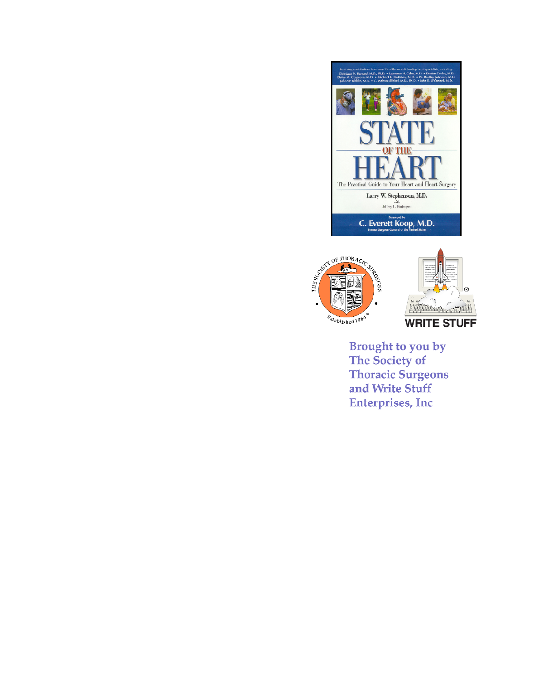



Brought to you by The Society of Thoracic Surgeons and Write Stuff **Enterprises**, Inc.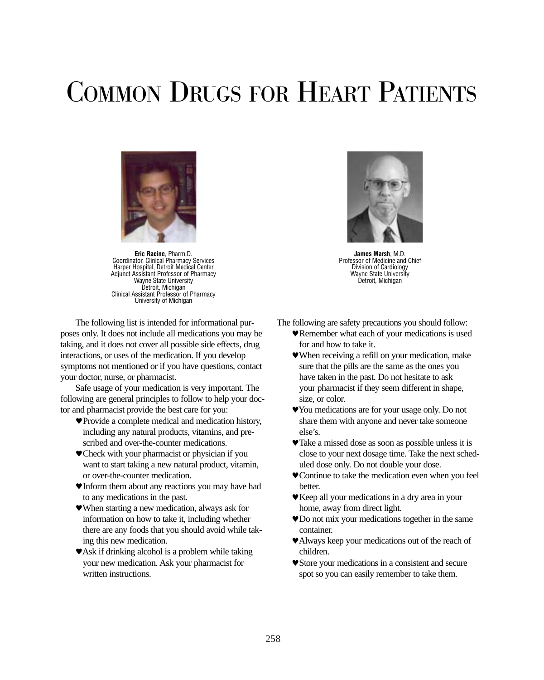# COMMON DRUGS FOR HEART PATIENTS



**Eric Racine**, Pharm.D. Coordinator, Clinical Pharmacy Services Harper Hospital, Detroit Medical Center Adjunct Assistant Professor of Pharmacy Wayne State University Detroit, Michigan Clinical Assistant Professor of Pharmacy University of Michigan

The following list is intended for informational purposes only. It does not include all medications you may be taking, and it does not cover all possible side effects, drug interactions, or uses of the medication. If you develop symptoms not mentioned or if you have questions, contact your doctor, nurse, or pharmacist.

Safe usage of your medication is very important. The following are general principles to follow to help your doctor and pharmacist provide the best care for you:

- ♥ Provide a complete medical and medication history, including any natural products, vitamins, and prescribed and over-the-counter medications.
- ♥ Check with your pharmacist or physician if you want to start taking a new natural product, vitamin, or over-the-counter medication.
- ♥ Inform them about any reactions you may have had to any medications in the past.
- ♥ When starting a new medication, always ask for information on how to take it, including whether there are any foods that you should avoid while taking this new medication.
- ♥Ask if drinking alcohol is a problem while taking your new medication. Ask your pharmacist for written instructions.



**James Marsh**, M.D. Professor of Medicine and Chief Division of Cardiology Wayne State University Detroit, Michigan

The following are safety precautions you should follow:

- ♥ Remember what each of your medications is used for and how to take it.
- ♥ When receiving a refill on your medication, make sure that the pills are the same as the ones you have taken in the past. Do not hesitate to ask your pharmacist if they seem different in shape, size, or color.
- ♥You medications are for your usage only. Do not share them with anyone and never take someone else's.
- ♥ Take a missed dose as soon as possible unless it is close to your next dosage time. Take the next scheduled dose only. Do not double your dose.
- ♥ Continue to take the medication even when you feel better.
- ♥ Keep all your medications in a dry area in your home, away from direct light.
- ♥ Do not mix your medications together in the same container.
- ♥Always keep your medications out of the reach of children.
- ♥ Store your medications in a consistent and secure spot so you can easily remember to take them.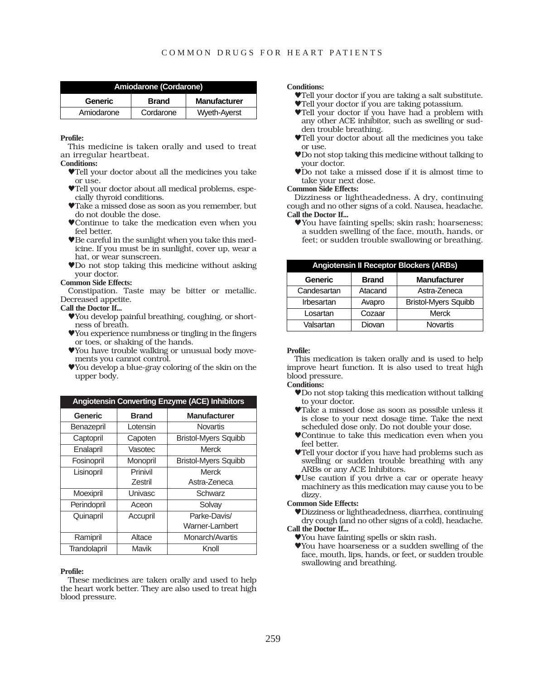| <b>Amiodarone (Cordarone)</b>                         |  |  |
|-------------------------------------------------------|--|--|
| <b>Manufacturer</b><br><b>Generic</b><br><b>Brand</b> |  |  |
| Amiodarone<br>Cordarone<br><b>Wyeth-Ayerst</b>        |  |  |

This medicine is taken orally and used to treat an irregular heartbeat.

# **Conditions:**

- ♥ Tell your doctor about all the medicines you take or use.
- ♥ Tell your doctor about all medical problems, especially thyroid conditions.
- ♥ Take a missed dose as soon as you remember, but do not double the dose.
- ♥ Continue to take the medication even when you feel better.
- ♥ Be careful in the sunlight when you take this medicine. If you must be in sunlight, cover up, wear a hat, or wear sunscreen.
- ♥ Do not stop taking this medicine without asking your doctor.

#### **Common Side Effects:**

Constipation. Taste may be bitter or metallic. Decreased appetite.

**Call the Doctor If...**

- ♥ You develop painful breathing, coughing, or shortness of breath.
- ♥ You experience numbness or tingling in the fingers or toes, or shaking of the hands.
- ♥ You have trouble walking or unusual body movements you cannot control.
- ♥ You develop a blue-gray coloring of the skin on the upper body.

| <b>Angiotensin Converting Enzyme (ACE) Inhibitors</b> |              |                             |  |
|-------------------------------------------------------|--------------|-----------------------------|--|
| Generic                                               | <b>Brand</b> | <b>Manufacturer</b>         |  |
| Benazepril                                            | Lotensin     | <b>Novartis</b>             |  |
| Captopril                                             | Capoten      | <b>Bristol-Myers Squibb</b> |  |
| Enalapril                                             | Vasotec      | Merck                       |  |
| Fosinopril                                            | Monopril     | <b>Bristol-Myers Squibb</b> |  |
| Lisinopril                                            | Prinivil     | Merck                       |  |
|                                                       | Zestril      | Astra-Zeneca                |  |
| Moexipril                                             | Univasc      | Schwarz                     |  |
| Perindopril                                           | Aceon        | Solvay                      |  |
| Quinapril                                             | Accupril     | Parke-Davis/                |  |
|                                                       |              | Warner-Lambert              |  |
| Ramipril                                              | Altace       | Monarch/Avartis             |  |
| Trandolapril                                          | Mavik        | Knoll                       |  |

#### **Profile:**

These medicines are taken orally and used to help the heart work better. They are also used to treat high blood pressure.

**Conditions:**

- ♥ Tell your doctor if you are taking a salt substitute.
- ♥ Tell your doctor if you are taking potassium.
- ♥ Tell your doctor if you have had a problem with any other ACE inhibitor, such as swelling or sudden trouble breathing.
- ♥ Tell your doctor about all the medicines you take or use.
- ♥ Do not stop taking this medicine without talking to your doctor.
- ♥ Do not take a missed dose if it is almost time to take your next dose.

## **Common Side Effects:**

Dizziness or lightheadedness. A dry, continuing cough and no other signs of a cold. Nausea, headache. **Call the Doctor If...**

♥ You have fainting spells; skin rash; hoarseness; a sudden swelling of the face, mouth, hands, or feet; or sudden trouble swallowing or breathing.

| <b>Angiotensin II Receptor Blockers (ARBs)</b> |              |                             |  |
|------------------------------------------------|--------------|-----------------------------|--|
| Generic                                        | <b>Brand</b> | <b>Manufacturer</b>         |  |
| Candesartan                                    | Atacand      | Astra-Zeneca                |  |
| Irbesartan                                     | Avapro       | <b>Bristol-Myers Squibb</b> |  |
| Losartan                                       | Cozaar       | <b>Merck</b>                |  |
| Valsartan                                      | Diovan       | <b>Novartis</b>             |  |

#### **Profile:**

This medication is taken orally and is used to help improve heart function. It is also used to treat high blood pressure.

**Conditions:**

- ♥ Do not stop taking this medication without talking to your doctor.
- ♥ Take a missed dose as soon as possible unless it is close to your next dosage time. Take the next scheduled dose only. Do not double your dose.
- ♥ Continue to take this medication even when you feel better.
- ♥ Tell your doctor if you have had problems such as swelling or sudden trouble breathing with any ARBs or any ACE Inhibitors.
- ♥ Use caution if you drive a car or operate heavy machinery as this medication may cause you to be dizzy.

#### **Common Side Effects:**

- ♥ Dizziness or lightheadedness, diarrhea, continuing dry cough (and no other signs of a cold), headache. **Call the Doctor If...**
	- ♥ You have fainting spells or skin rash.
	- ♥ You have hoarseness or a sudden swelling of the face, mouth, lips, hands, or feet, or sudden trouble swallowing and breathing.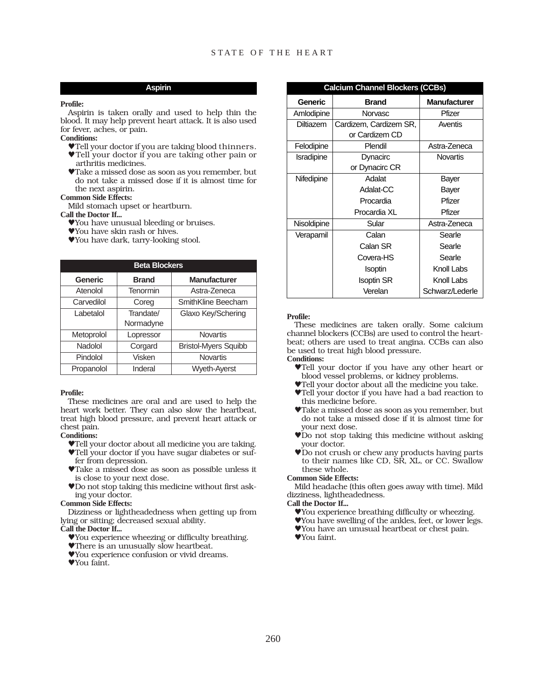Aspirin is taken orally and used to help thin the blood. It may help prevent heart attack. It is also used for fever, aches, or pain.

# **Conditions:**

- ♥ Tell your doctor if you are taking blood thinners.
- ♥ Tell your doctor if you are taking other pain or arthritis medicines.
- ♥ Take a missed dose as soon as you remember, but do not take a missed dose if it is almost time for the next aspirin.

**Common Side Effects:**

Mild stomach upset or heartburn.

#### **Call the Doctor If...**

- ♥ You have unusual bleeding or bruises.
- ♥ You have skin rash or hives.
- ♥ You have dark, tarry-looking stool.

| <b>Beta Blockers</b> |              |                             |  |
|----------------------|--------------|-----------------------------|--|
| <b>Generic</b>       | <b>Brand</b> | <b>Manufacturer</b>         |  |
| Atenolol             | Tenormin     | Astra-Zeneca                |  |
| Carvedilol           | Coreg        | SmithKline Beecham          |  |
| Labetalol            | Trandate/    | Glaxo Key/Schering          |  |
|                      | Normadyne    |                             |  |
| Metoprolol           | Lopressor    | <b>Novartis</b>             |  |
| Nadolol              | Corgard      | <b>Bristol-Myers Squibb</b> |  |
| Pindolol             | Visken       | <b>Novartis</b>             |  |
| Propanolol           | Inderal      | <b>Wyeth-Ayerst</b>         |  |

#### **Profile:**

These medicines are oral and are used to help the heart work better. They can also slow the heartbeat, treat high blood pressure, and prevent heart attack or chest pain.

## **Conditions:**

- ♥ Tell your doctor about all medicine you are taking.
- ♥ Tell your doctor if you have sugar diabetes or suffer from depression.
- ♥ Take a missed dose as soon as possible unless it is close to your next dose.
- ♥ Do not stop taking this medicine without first asking your doctor.

#### **Common Side Effects:**

Dizziness or lightheadedness when getting up from lying or sitting; decreased sexual ability.

# **Call the Doctor If...**

- ♥ You experience wheezing or difficulty breathing.
- ♥ There is an unusually slow heartbeat.
- ♥ You experience confusion or vivid dreams.
- ♥ You faint.

| <b>Aspirin</b> |                                   | <b>Calcium Channel Blockers (CCBs)</b> |                                          |                     |
|----------------|-----------------------------------|----------------------------------------|------------------------------------------|---------------------|
|                |                                   | <b>Generic</b>                         | <b>Brand</b>                             | <b>Manufacturer</b> |
|                | ly and used to help thin the      | Amlodipine                             | Norvasc                                  | Pfizer              |
|                | ent heart attack. It is also used | <b>Diltiazem</b>                       | Cardizem, Cardizem SR,<br>or Cardizem CD | Aventis             |
|                | ou are taking blood thinners.     | Felodipine                             | Plendil                                  | Astra-Zeneca        |
|                | you are taking other pain or      | Isradipine                             | Dynacirc                                 | <b>Novartis</b>     |
|                | as soon as you remember, but      |                                        | or Dynacirc CR                           |                     |
|                | ed dose if it is almost time for  | Nifedipine                             | Adalat                                   | Bayer               |
|                |                                   |                                        | Adalat-CC                                | Bayer               |
| r heartburn.   |                                   |                                        | Procardia                                | Pfizer              |
|                |                                   |                                        | Procardia XL                             | Pfizer              |
|                | bleeding or bruises.              | Nisoldipine                            | Sular                                    | Astra-Zeneca        |
| or hives.      | v-looking stool.                  | Verapamil                              | Calan                                    | Searle              |
|                |                                   |                                        | Calan SR                                 | Searle              |
|                |                                   |                                        | Covera-HS                                | Searle              |
| a Blockers     |                                   |                                        | <b>Isoptin</b>                           | Knoll Labs          |
| nd             | <b>Manufacturer</b>               |                                        | <b>Isoptin SR</b>                        | Knoll Labs          |
| rmin           | Astra-Zeneca                      |                                        | Verelan                                  | Schwarz/Lederle     |

#### **Profile:**

These medicines are taken orally. Some calcium channel blockers (CCBs) are used to control the heartbeat; others are used to treat angina. CCBs can also be used to treat high blood pressure.

#### **Conditions:**

- ♥ Tell your doctor if you have any other heart or blood vessel problems, or kidney problems.
- ♥ Tell your doctor about all the medicine you take.
- ♥ Tell your doctor if you have had a bad reaction to this medicine before.
- ♥ Take a missed dose as soon as you remember, but do not take a missed dose if it is almost time for your next dose.
- ♥ Do not stop taking this medicine without asking your doctor.
- ♥ Do not crush or chew any products having parts to their names like CD, SR, XL, or CC. Swallow these whole.

#### **Common Side Effects:**

Mild headache (this often goes away with time). Mild dizziness, lightheadedness.

**Call the Doctor If...**

- ♥ You experience breathing difficulty or wheezing.
- ♥ You have swelling of the ankles, feet, or lower legs.
- ♥ You have an unusual heartbeat or chest pain.
- ♥ You faint.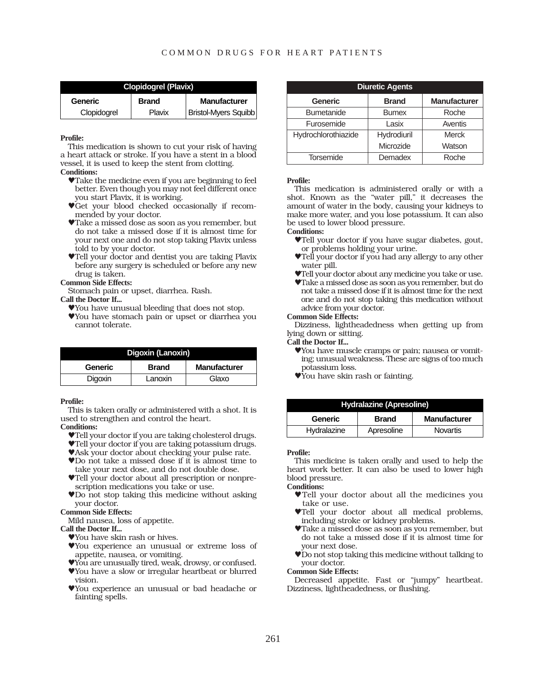| <b>Clopidogrel (Plavix)</b>                           |        |                             |
|-------------------------------------------------------|--------|-----------------------------|
| <b>Manufacturer</b><br><b>Generic</b><br><b>Brand</b> |        |                             |
| Clopidogrel                                           | Plavix | <b>Bristol-Myers Squibb</b> |

This medication is shown to cut your risk of having a heart attack or stroke. If you have a stent in a blood vessel, it is used to keep the stent from clotting.

- **Conditions:**
	- ♥ Take the medicine even if you are beginning to feel better. Even though you may not feel different once you start Plavix, it is working.
	- ♥ Get your blood checked occasionally if recommended by your doctor.
	- ♥ Take a missed dose as soon as you remember, but do not take a missed dose if it is almost time for your next one and do not stop taking Plavix unless told to by your doctor.
	- ♥ Tell your doctor and dentist you are taking Plavix before any surgery is scheduled or before any new drug is taken.

# **Common Side Effects:**

Stomach pain or upset, diarrhea. Rash.

# **Call the Doctor If...**

- ♥ You have unusual bleeding that does not stop.
- ♥ You have stomach pain or upset or diarrhea you cannot tolerate.

| Digoxin (Lanoxin)                                     |         |       |
|-------------------------------------------------------|---------|-------|
| <b>Manufacturer</b><br><b>Generic</b><br><b>Brand</b> |         |       |
| Digoxin                                               | Lanoxin | Glaxo |

#### **Profile:**

This is taken orally or administered with a shot. It is used to strengthen and control the heart.

# **Conditions:**

- ♥ Tell your doctor if you are taking cholesterol drugs.
- ♥ Tell your doctor if you are taking potassium drugs.
- ♥ Ask your doctor about checking your pulse rate.
- ♥ Do not take a missed dose if it is almost time to take your next dose, and do not double dose.
- ♥ Tell your doctor about all prescription or nonprescription medications you take or use.
- ♥ Do not stop taking this medicine without asking your doctor.

#### **Common Side Effects:**

## Mild nausea, loss of appetite.

#### **Call the Doctor If...**

- ♥ You have skin rash or hives.
- ♥ You experience an unusual or extreme loss of appetite, nausea, or vomiting.
- ♥ You are unusually tired, weak, drowsy, or confused. ♥ You have a slow or irregular heartbeat or blurred vision.
- ♥ You experience an unusual or bad headache or fainting spells.

| <b>Diuretic Agents</b> |              |                     |  |
|------------------------|--------------|---------------------|--|
| <b>Generic</b>         | <b>Brand</b> | <b>Manufacturer</b> |  |
| <b>Bumetanide</b>      | <b>Bumex</b> | Roche               |  |
| Furosemide             | Lasix        | Aventis             |  |
| Hydrochlorothiazide    | Hydrodiuril  | <b>Merck</b>        |  |
|                        | Microzide    | Watson              |  |
| Torsemide              | Demadex      | Roche               |  |

#### **Profile:**

This medication is administered orally or with a shot. Known as the "water pill," it decreases the amount of water in the body, causing your kidneys to make more water, and you lose potassium. It can also be used to lower blood pressure.

#### **Conditions:**

- ♥ Tell your doctor if you have sugar diabetes, gout, or problems holding your urine.
- ♥ Tell your doctor if you had any allergy to any other water pill.
- ♥ Tell your doctor about any medicine you take or use.
- ♥Take a missed dose as soon as you remember, but do not take a missed dose if it is almost time for the next one and do not stop taking this medication without advice from your doctor.

#### **Common Side Effects:**

Dizziness, lightheadedness when getting up from lying down or sitting.

#### **Call the Doctor If...**

- ♥ You have muscle cramps or pain; nausea or vomiting; unusual weakness. These are signs of too much potassium loss.
- ♥ You have skin rash or fainting.

| <b>Hydralazine (Apresoline)</b>                       |            |                 |  |
|-------------------------------------------------------|------------|-----------------|--|
| <b>Manufacturer</b><br><b>Generic</b><br><b>Brand</b> |            |                 |  |
| Hydralazine                                           | Apresoline | <b>Novartis</b> |  |

#### **Profile:**

This medicine is taken orally and used to help the heart work better. It can also be used to lower high blood pressure.

#### **Conditions:**

- ♥ Tell your doctor about all the medicines you take or use.
- ♥ Tell your doctor about all medical problems, including stroke or kidney problems.
- ♥ Take a missed dose as soon as you remember, but do not take a missed dose if it is almost time for your next dose.
- ♥ Do not stop taking this medicine without talking to your doctor.

# **Common Side Effects:**

Decreased appetite. Fast or "jumpy" heartbeat. Dizziness, lightheadedness, or flushing.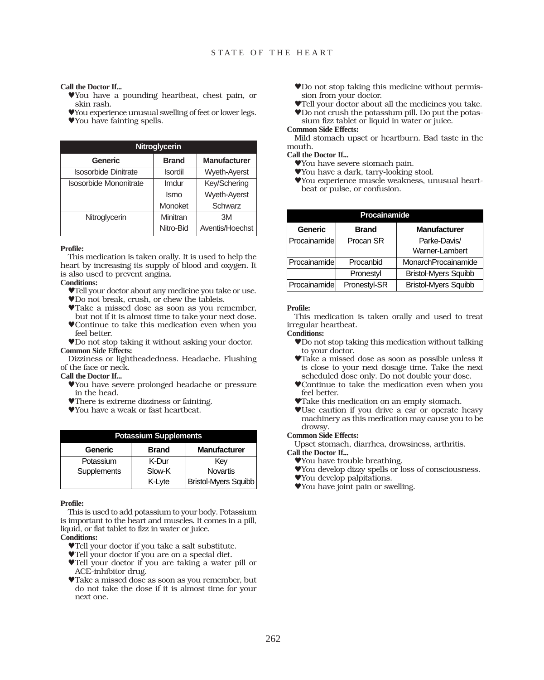**Call the Doctor If...**

- ♥ You have a pounding heartbeat, chest pain, or skin rash.
- ♥ You experience unusual swelling of feet or lower legs.
- ♥ You have fainting spells.

| <b>Nitroglycerin</b>        |              |                     |  |
|-----------------------------|--------------|---------------------|--|
| <b>Generic</b>              | <b>Brand</b> | <b>Manufacturer</b> |  |
| <b>Isosorbide Dinitrate</b> | Isordil      | <b>Wyeth-Ayerst</b> |  |
| Isosorbide Mononitrate      | Imdur        | Key/Schering        |  |
|                             | Ismo         | <b>Wyeth-Ayerst</b> |  |
|                             | Monoket      | Schwarz             |  |
| Nitroglycerin               | Minitran     | 3M                  |  |
|                             | Nitro-Bid    | Aventis/Hoechst     |  |

#### **Profile:**

This medication is taken orally. It is used to help the heart by increasing its supply of blood and oxygen. It is also used to prevent angina.

#### **Conditions:**

- ♥ Tell your doctor about any medicine you take or use.
- ♥ Do not break, crush, or chew the tablets.
- ♥ Take a missed dose as soon as you remember, but not if it is almost time to take your next dose.
- ♥ Continue to take this medication even when you feel better.
- ♥ Do not stop taking it without asking your doctor. **Common Side Effects:**

Dizziness or lightheadedness. Headache. Flushing of the face or neck.

#### **Call the Doctor If...**

- ♥ You have severe prolonged headache or pressure in the head.
- ♥ There is extreme dizziness or fainting.
- ♥ You have a weak or fast heartbeat.

| <b>Potassium Supplements</b>                          |        |                             |
|-------------------------------------------------------|--------|-----------------------------|
| <b>Manufacturer</b><br><b>Generic</b><br><b>Brand</b> |        |                             |
| Potassium                                             | K-Dur  | Key                         |
| Supplements                                           | Slow-K | <b>Novartis</b>             |
|                                                       | K-Lyte | <b>Bristol-Myers Squibb</b> |

#### **Profile:**

This is used to add potassium to your body. Potassium is important to the heart and muscles. It comes in a pill, liquid, or flat tablet to fizz in water or juice. **Conditions:**

- 
- ♥ Tell your doctor if you take a salt substitute.
- ♥ Tell your doctor if you are on a special diet.
- ♥ Tell your doctor if you are taking a water pill or ACE-inhibitor drug.
- ♥ Take a missed dose as soon as you remember, but do not take the dose if it is almost time for your next one.
- ♥ Do not stop taking this medicine without permission from your doctor.
- ♥ Tell your doctor about all the medicines you take.
- ♥ Do not crush the potassium pill. Do put the potassium fizz tablet or liquid in water or juice.

# **Common Side Effects:**

Mild stomach upset or heartburn. Bad taste in the mouth.

**Call the Doctor If...**

- ♥ You have severe stomach pain.
- ♥ You have a dark, tarry-looking stool.
- ♥ You experience muscle weakness, unusual heartbeat or pulse, or confusion.

| Procainamide |              |                             |  |
|--------------|--------------|-----------------------------|--|
| Generic      | <b>Brand</b> | <b>Manufacturer</b>         |  |
| Procainamide | Procan SR    | Parke-Davis/                |  |
|              |              | Warner-Lambert              |  |
| Procainamide | Procanbid    | <b>MonarchProcainamide</b>  |  |
|              | Pronestyl    | <b>Bristol-Myers Squibb</b> |  |
| Procainamide | Pronestyl-SR | <b>Bristol-Myers Squibb</b> |  |

#### **Profile:**

This medication is taken orally and used to treat irregular heartbeat.

# **Conditions:**

- ♥ Do not stop taking this medication without talking to your doctor.
- ♥ Take a missed dose as soon as possible unless it is close to your next dosage time. Take the next scheduled dose only. Do not double your dose.
- ♥ Continue to take the medication even when you feel better.
- ♥ Take this medication on an empty stomach.
- ♥ Use caution if you drive a car or operate heavy machinery as this medication may cause you to be drowsy.

#### **Common Side Effects:**

Upset stomach, diarrhea, drowsiness, arthritis.

**Call the Doctor If...**

- ♥ You have trouble breathing.
- ♥ You develop dizzy spells or loss of consciousness.
- ♥ You develop palpitations.
- ♥ You have joint pain or swelling.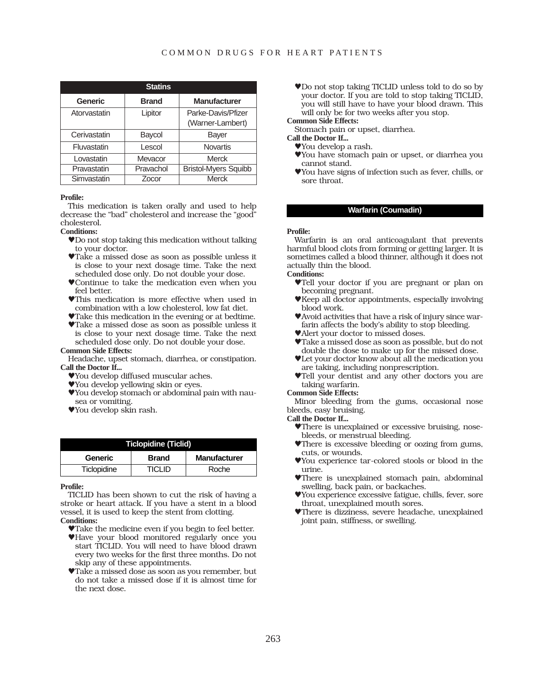|              | <b>Statins</b> |                                        |
|--------------|----------------|----------------------------------------|
| Generic      | <b>Brand</b>   | <b>Manufacturer</b>                    |
| Atorvastatin | Lipitor        | Parke-Davis/Pfizer<br>(Warner-Lambert) |
| Cerivastatin | Baycol         | Bayer                                  |
| Fluvastatin  | Lescol         | Novartis                               |
| Lovastatin   | Mevacor        | <b>Merck</b>                           |
| Pravastatin  | Pravachol      | <b>Bristol-Myers Squibb</b>            |
| Simvastatin  | Zocor          | <b>Merck</b>                           |

This medication is taken orally and used to help decrease the "bad" cholesterol and increase the "good" cholesterol.

### **Conditions:**

- ♥ Do not stop taking this medication without talking to your doctor.
- ♥ Take a missed dose as soon as possible unless it is close to your next dosage time. Take the next scheduled dose only. Do not double your dose.
- ♥ Continue to take the medication even when you feel better.
- ♥ This medication is more effective when used in combination with a low cholesterol, low fat diet.
- ♥ Take this medication in the evening or at bedtime.
- ♥ Take a missed dose as soon as possible unless it is close to your next dosage time. Take the next scheduled dose only. Do not double your dose.

#### **Common Side Effects:**

Headache, upset stomach, diarrhea, or constipation. **Call the Doctor If...**

- ♥ You develop diffused muscular aches.
- ♥ You develop yellowing skin or eyes.
- ♥ You develop stomach or abdominal pain with nausea or vomiting.
- ♥ You develop skin rash.

| <b>Ticlopidine (Ticlid)</b> |              |                     |  |
|-----------------------------|--------------|---------------------|--|
| <b>Generic</b>              | <b>Brand</b> | <b>Manufacturer</b> |  |
| Ticlopidine                 | חו וחד       | Roche               |  |

#### **Profile:**

TICLID has been shown to cut the risk of having a stroke or heart attack. If you have a stent in a blood vessel, it is used to keep the stent from clotting. **Conditions:**

♥ Take the medicine even if you begin to feel better.

- ♥ Have your blood monitored regularly once you start TICLID. You will need to have blood drawn every two weeks for the first three months. Do not skip any of these appointments.
- ♥ Take a missed dose as soon as you remember, but do not take a missed dose if it is almost time for the next dose.

♥ Do not stop taking TICLID unless told to do so by your doctor. If you are told to stop taking TICLID, you will still have to have your blood drawn. This will only be for two weeks after you stop.

# **Common Side Effects:**

Stomach pain or upset, diarrhea.

**Call the Doctor If...**

- ♥ You develop a rash.
- ♥ You have stomach pain or upset, or diarrhea you cannot stand.
- ♥ You have signs of infection such as fever, chills, or sore throat.

#### **Warfarin (Coumadin)**

#### **Profile:**

Warfarin is an oral anticoagulant that prevents harmful blood clots from forming or getting larger. It is sometimes called a blood thinner, although it does not actually thin the blood.

#### **Conditions:**

- ♥ Tell your doctor if you are pregnant or plan on becoming pregnant.
- ♥ Keep all doctor appointments, especially involving blood work.
- ♥ Avoid activities that have a risk of injury since warfarin affects the body's ability to stop bleeding.
- ♥ Alert your doctor to missed doses.
- ♥ Take a missed dose as soon as possible, but do not double the dose to make up for the missed dose.
- ♥ Let your doctor know about all the medication you are taking, including nonprescription.
- ♥ Tell your dentist and any other doctors you are taking warfarin.

#### **Common Side Effects:**

Minor bleeding from the gums, occasional nose bleeds, easy bruising.

# **Call the Doctor If...**

- ♥ There is unexplained or excessive bruising, nosebleeds, or menstrual bleeding.
- ♥ There is excessive bleeding or oozing from gums, cuts, or wounds.
- ♥ You experience tar-colored stools or blood in the urine.
- ♥ There is unexplained stomach pain, abdominal swelling, back pain, or backaches.
- ♥ You experience excessive fatigue, chills, fever, sore throat, unexplained mouth sores.
- ♥ There is dizziness, severe headache, unexplained joint pain, stiffness, or swelling.